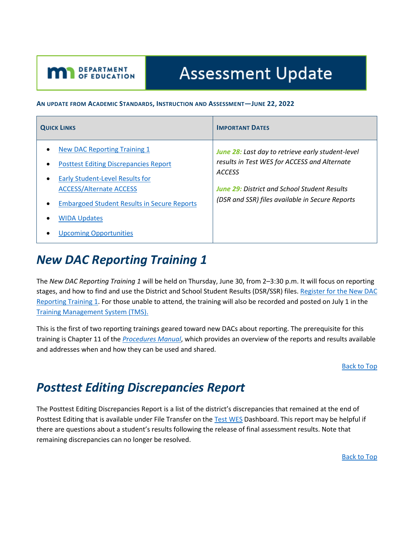# **Assessment Update**

#### **AN UPDATE FROM ACADEMIC STANDARDS, INSTRUCTION AND ASSESSMENT—JUNE 22, 2022**

| <b>QUICK LINKS</b>                                                                                                                                      | <b>IMPORTANT DATES</b>                                                                                             |
|---------------------------------------------------------------------------------------------------------------------------------------------------------|--------------------------------------------------------------------------------------------------------------------|
| <b>New DAC Reporting Training 1</b><br><b>Posttest Editing Discrepancies Report</b><br>$\bullet$<br><b>Early Student-Level Results for</b><br>$\bullet$ | June 28: Last day to retrieve early student-level<br>results in Test WES for ACCESS and Alternate<br><b>ACCESS</b> |
| <b>ACCESS/Alternate ACCESS</b><br><b>Embargoed Student Results in Secure Reports</b><br>$\bullet$                                                       | <b>June 29: District and School Student Results</b><br>(DSR and SSR) files available in Secure Reports             |
| <b>WIDA Updates</b><br>$\bullet$<br><b>Upcoming Opportunities</b>                                                                                       |                                                                                                                    |

# <span id="page-0-0"></span>*New DAC Reporting Training 1*

<span id="page-0-2"></span><span id="page-0-1"></span>DEPARTMENT<br>OF EDUCATION

The *New DAC Reporting Training 1* will be held on Thursday, June 30, from 2–3:30 p.m. It will focus on reporting stages, and how to find and use the District and School Student Results (DSR/SSR) files. Register for the New DAC [Reporting Training 1.](https://www.zoomgov.com/meeting/register/vJIsce2uqjspExM2kjnLN1Zh_2YAX4_4PnA) For those unable to attend, the training will also be recorded and posted on July 1 in the [Training Management System \(TMS\).](https://gcc02.safelinks.protection.outlook.com/?url=http%3A%2F%2Fminnesota.pearsonaccessnext.com%2Ftraining%2F&data=05%7C01%7CMegan.OReilly%40state.mn.us%7Cadf92e8dcfde4d8ae48c08da3cec175e%7Ceb14b04624c445198f26b89c2159828c%7C0%7C0%7C637889281943348613%7CUnknown%7CTWFpbGZsb3d8eyJWIjoiMC4wLjAwMDAiLCJQIjoiV2luMzIiLCJBTiI6Ik1haWwiLCJXVCI6Mn0%3D%7C3000%7C%7C%7C&sdata=rLqLbgTws%2FyFIlF1weeDrXfpUR8DA%2BJQ6Su1msR1SoE%3D&reserved=0)

This is the first of two reporting trainings geared toward new DACs about reporting. The prerequisite for this training is Chapter 11 of the *[Procedures Manual](http://minnesota.pearsonaccessnext.com/policies-and-procedures/)*, which provides an overview of the reports and results available and addresses when and how they can be used and shared.

[Back to Top](#page-0-2)

## *Posttest Editing Discrepancies Report*

The Posttest Editing Discrepancies Report is a list of the district's discrepancies that remained at the end of Posttest Editing that is available under File Transfer on the [Test](https://education.mn.gov/MDE/dse/datasub/TestWES/) WES Dashboard. This report may be helpful if there are questions about a student's results following the release of final assessment results. Note that remaining discrepancies can no longer be resolved.

[Back to Top](#page-0-2)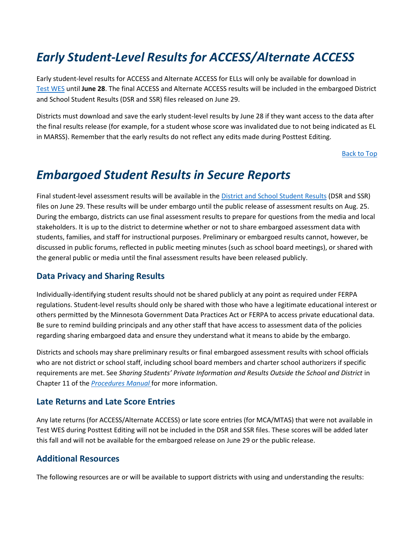# <span id="page-1-0"></span>*Early Student-Level Results for ACCESS/Alternate ACCESS*

Early student-level results for ACCESS and Alternate ACCESS for ELLs will only be available for download in Test [WES](https://education.mn.gov/MDE/dse/datasub/TestWES/) until **June 28**. The final ACCESS and Alternate ACCESS results will be included in the embargoed District and School Student Results (DSR and SSR) files released on June 29.

Districts must download and save the early student-level results by June 28 if they want access to the data after the final results release (for example, for a student whose score was invalidated due to not being indicated as EL in MARSS). Remember that the early results do not reflect any edits made during Posttest Editing.

[Back to Top](#page-0-2)

### <span id="page-1-1"></span>*Embargoed Student Results in Secure Reports*

Final student-level assessment results will be available in th[e District and School Student Results](https://public.education.mn.gov/MDEAnalytics/DataSecure.jsp) (DSR and SSR) files on June 29. These results will be under embargo until the public release of assessment results on Aug. 25. During the embargo, districts can use final assessment results to prepare for questions from the media and local stakeholders. It is up to the district to determine whether or not to share embargoed assessment data with students, families, and staff for instructional purposes. Preliminary or embargoed results cannot, however, be discussed in public forums, reflected in public meeting minutes (such as school board meetings), or shared with the general public or media until the final assessment results have been released publicly.

#### **Data Privacy and Sharing Results**

Individually-identifying student results should not be shared publicly at any point as required under FERPA regulations. Student-level results should only be shared with those who have a legitimate educational interest or others permitted by the Minnesota Government Data Practices Act or FERPA to access private educational data. Be sure to remind building principals and any other staff that have access to assessment data of the policies regarding sharing embargoed data and ensure they understand what it means to abide by the embargo.

Districts and schools may share preliminary results or final embargoed assessment results with school officials who are not district or school staff, including school board members and charter school authorizers if specific requirements are met. See *Sharing Students' Private Information and Results Outside the School and District* in Chapter 11 of the *[Procedures Manual](https://gcc01.safelinks.protection.outlook.com/?url=http%3A%2F%2Fminnesota.pearsonaccessnext.com%2Fpolicies-and-procedures%2F&data=02%7C01%7Cjennifer.burton%40state.mn.us%7C48576623826b4eef927008d6fa71bf27%7Ceb14b04624c445198f26b89c2159828c%7C0%7C0%7C636971763776106827&sdata=ARO6iHUuE7all16UTkrkUf8G51Ttl5adH7Zorc2wFes%3D&reserved=0)* for more information.

#### **Late Returns and Late Score Entries**

Any late returns (for ACCESS/Alternate ACCESS) or late score entries (for MCA/MTAS) that were not available in Test WES during Posttest Editing will not be included in the DSR and SSR files. These scores will be added later this fall and will not be available for the embargoed release on June 29 or the public release.

#### **Additional Resources**

The following resources are or will be available to support districts with using and understanding the results: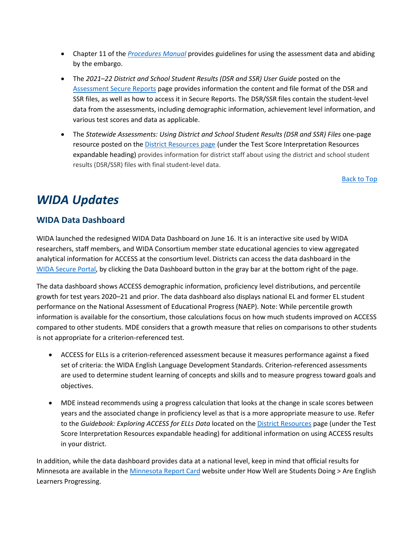- Chapter 11 of the *[Procedures Manual](http://minnesota.pearsonaccessnext.com/policies-and-procedures/)* provides guidelines for using the assessment data and abiding by the embargo.
- The *2021–22 District and School Student Results (DSR and SSR) User Guide* posted on the [Assessment Secure Reports](https://education.mn.gov/MDE/dse/datasub/SecureRep/) page provides information the content and file format of the DSR and SSR files, as well as how to access it in Secure Reports. The DSR/SSR files contain the student-level data from the assessments, including demographic information, achievement level information, and various test scores and data as applicable.
- The *Statewide Assessments: Using District and School Student Results (DSR and SSR) Files* one-page resource posted on the **District Resources page** (under the Test Score Interpretation Resources expandable heading) provides information for district staff about using the district and school student results (DSR/SSR) files with final student-level data.

[Back to Top](#page-0-2)

# <span id="page-2-0"></span>*WIDA Updates*

#### **WIDA Data Dashboard**

WIDA launched the redesigned WIDA Data Dashboard on June 16. It is an interactive site used by WIDA researchers, staff members, and WIDA Consortium member state educational agencies to view aggregated analytical information for ACCESS at the consortium level. Districts can access the data dashboard in the WIDA [Secure Portal,](https://wida.wisc.edu/login) by clicking the Data Dashboard button in the gray bar at the bottom right of the page.

The data dashboard shows ACCESS demographic information, proficiency level distributions, and percentile growth for test years 2020–21 and prior. The data dashboard also displays national EL and former EL student performance on the National Assessment of Educational Progress (NAEP). Note: While percentile growth information is available for the consortium, those calculations focus on how much students improved on ACCESS compared to other students. MDE considers that a growth measure that relies on comparisons to other students is not appropriate for a criterion-referenced test.

- ACCESS for ELLs is a criterion-referenced assessment because it measures performance against a fixed set of criteria: the WIDA English Language Development Standards. Criterion-referenced assessments are used to determine student learning of concepts and skills and to measure progress toward goals and objectives.
- MDE instead recommends using a progress calculation that looks at the change in scale scores between years and the associated change in proficiency level as that is a more appropriate measure to use. Refer to the *Guidebook: Exploring ACCESS for ELLs Data* located on th[e District Resources](https://education.mn.gov/MDE/dse/test/district/) page (under the Test Score Interpretation Resources expandable heading) for additional information on using ACCESS results in your district.

In addition, while the data dashboard provides data at a national level, keep in mind that official results for Minnesota are available in the [Minnesota Report Card](https://rc.education.mn.gov/#mySchool/p--3) website under How Well are Students Doing > Are English Learners Progressing.